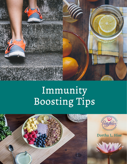

## Immunity<br>Boosting Tips

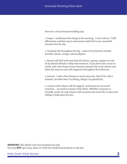Here are 5 of my immune building tips:

1. Prayer + meditation first thing in the morning - I start with an "I AM" affirmation and then tap in and connect with God to set a powerful intention for the day.

2. Essential oils throughout the day - some of my favorites include lavender, lemon, orange, and eucalyptus.

3. Epsom salt bath with essential oils (lemon, cypress, juniper are one of my favorite blends to help with soreness). If you don't have access to a bath, add a few drops of your favorite essential oils in the shower and allow the steam to carry the fragrance throughout the bathroom.

4. Journal - I take a few minutes to write every day. Even if it's only 5 minutes. Jot down how I'm feeling, things I'm grateful for,

5. Connect with others/ ask for support. As humans we are social creatures... we need to connect with others. Whether in person or virtually, reach out and connect with someone you trust who is open and willing to hold space for you.

**WARNING:** This eBook is for your personal use only. You may **NOT** give away, share or resell this intellectual property in any way.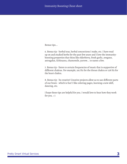Bonus tips...

6. Bonus tip - herbal teas, herbal concoctions I make, etc. I have read up on and studied herbs for the past few years and I love the immunityboosting properties that thins like elderberry, fresh garlic, oregano, astragalus, Echinacea, chamomile, yarrow... to name a few.

7. Bonus tip - listen to certain frequencies of music that is supportive of different chakras. For example, 192 Hz for the throat chakra or 128 Hz for the heart chakra.

8. Bonus tip - be creative! Creative projects allow us to use different parts of our brain - which is fun! I like coloring pages, learning a new skill, dancing, etc.

I hope these tips are helpful for you. I would love to hear how they work for you. :-)